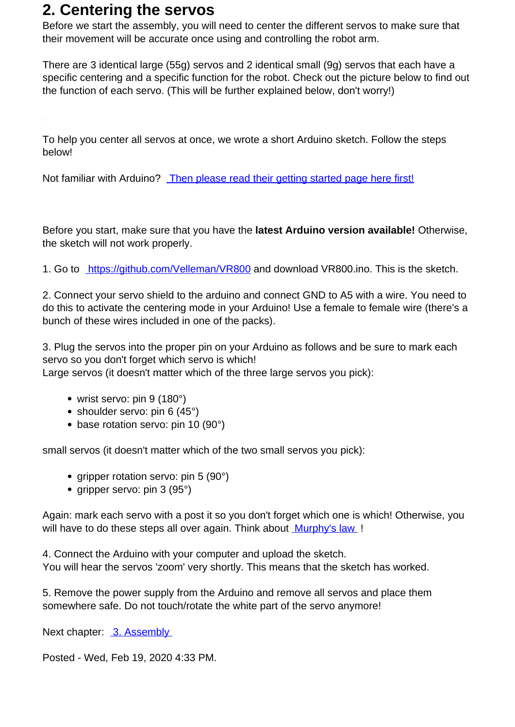## **2. Centering the servos**

Before we start the assembly, you will need to center the different servos to make sure that their movement will be accurate once using and controlling the robot arm.

There are 3 identical large (55g) servos and 2 identical small (9g) servos that each have a specific centering and a specific function for the robot. Check out the picture below to find out the function of each servo. (This will be further explained below, don't worry!)

To help you center all servos at once, we wrote a short Arduino sketch. Follow the steps below!

Not familiar with Arduino? [Then please read their getting started page here first!](https://www.arduino.cc/en/Guide/HomePage)

Before you start, make sure that you have the **latest Arduino version available!** Otherwise, the sketch will not work properly.

1. Go to <https://github.com/Velleman/VR800>and download VR800.ino. This is the sketch.

2. Connect your servo shield to the arduino and connect GND to A5 with a wire. You need to do this to activate the centering mode in your Arduino! Use a female to female wire (there's a bunch of these wires included in one of the packs).

3. Plug the servos into the proper pin on your Arduino as follows and be sure to mark each servo so you don't forget which servo is which!

Large servos (it doesn't matter which of the three large servos you pick):

- wrist servo: pin 9 (180°)
- shoulder servo: pin 6 (45°)
- base rotation servo: pin 10 (90°)

small servos (it doesn't matter which of the two small servos you pick):

- gripper rotation servo: pin  $5$  (90 $^{\circ}$ )
- gripper servo: pin  $3 (95°)$

Again: mark each servo with a post it so you don't forget which one is which! Otherwise, you will have to do these steps all over again. Think about [Murphy's law](https://en.wikipedia.org/wiki/Murphy%27s_law) !

4. Connect the Arduino with your computer and upload the sketch. You will hear the servos 'zoom' very shortly. This means that the sketch has worked.

5. Remove the power supply from the Arduino and remove all servos and place them somewhere safe. Do not touch/rotate the white part of the servo anymore!

Next chapter: 3. Assembly

Posted - Wed, Feb 19, 2020 4:33 PM.